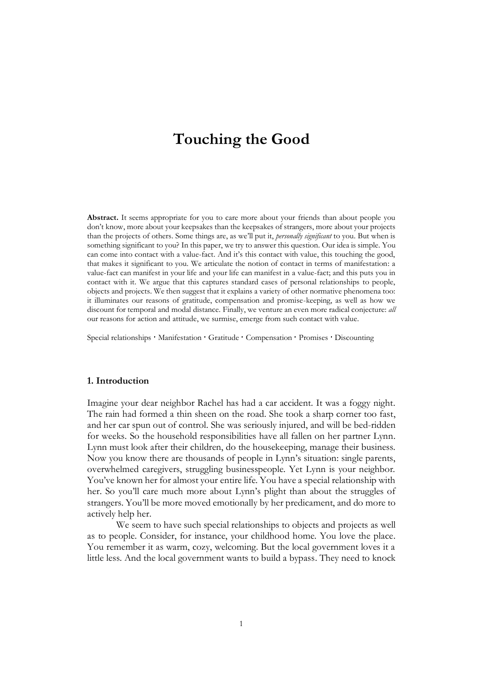# **Touching the Good**

Abstract. It seems appropriate for you to care more about your friends than about people you don't know, more about your keepsakes than the keepsakes of strangers, more about your projects than the projects of others. Some things are, as we'll put it, *personally significant* to you. But when is something significant to you? In this paper, we try to answer this question. Our idea is simple. You can come into contact with a value-fact. And it's this contact with value, this touching the good, that makes it significant to you. We articulate the notion of contact in terms of manifestation: a value-fact can manifest in your life and your life can manifest in a value-fact; and this puts you in contact with it. We argue that this captures standard cases of personal relationships to people, objects and projects. We then suggest that it explains a variety of other normative phenomena too: it illuminates our reasons of gratitude, compensation and promise-keeping, as well as how we discount for temporal and modal distance. Finally, we venture an even more radical conjecture: *all* our reasons for action and attitude, we surmise, emerge from such contact with value.

Special relationships ' Manifestation ' Gratitude ' Compensation ' Promises ' Discounting

## **1. Introduction**

Imagine your dear neighbor Rachel has had a car accident. It was a foggy night. The rain had formed a thin sheen on the road. She took a sharp corner too fast, and her car spun out of control. She was seriously injured, and will be bed-ridden for weeks. So the household responsibilities have all fallen on her partner Lynn. Lynn must look after their children, do the housekeeping, manage their business. Now you know there are thousands of people in Lynn's situation: single parents, overwhelmed caregivers, struggling businesspeople. Yet Lynn is your neighbor. You've known her for almost your entire life. You have a special relationship with her. So you'll care much more about Lynn's plight than about the struggles of strangers. You'll be more moved emotionally by her predicament, and do more to actively help her.

We seem to have such special relationships to objects and projects as well as to people. Consider, for instance, your childhood home. You love the place. You remember it as warm, cozy, welcoming. But the local government loves it a little less. And the local government wants to build a bypass. They need to knock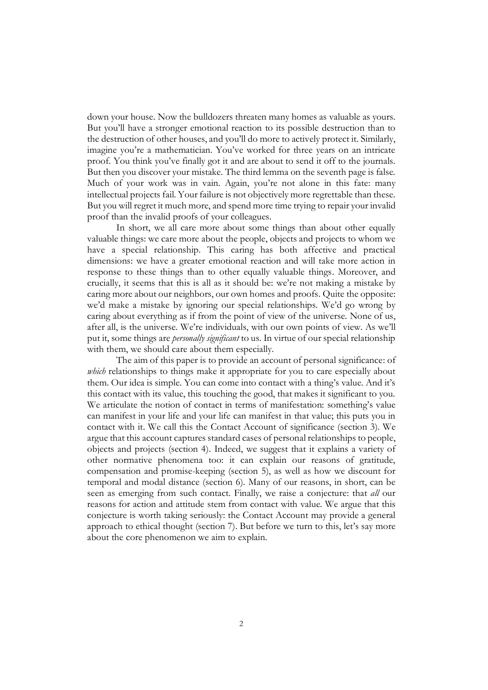down your house. Now the bulldozers threaten many homes as valuable as yours. But you'll have a stronger emotional reaction to its possible destruction than to the destruction of other houses, and you'll do more to actively protect it. Similarly, imagine you're a mathematician. You've worked for three years on an intricate proof. You think you've finally got it and are about to send it off to the journals. But then you discover your mistake. The third lemma on the seventh page is false. Much of your work was in vain. Again, you're not alone in this fate: many intellectual projects fail. Your failure is not objectively more regrettable than these. But you will regret it much more, and spend more time trying to repair your invalid proof than the invalid proofs of your colleagues.

In short, we all care more about some things than about other equally valuable things: we care more about the people, objects and projects to whom we have a special relationship. This caring has both affective and practical dimensions: we have a greater emotional reaction and will take more action in response to these things than to other equally valuable things. Moreover, and crucially, it seems that this is all as it should be: we're not making a mistake by caring more about our neighbors, our own homes and proofs. Quite the opposite: we'd make a mistake by ignoring our special relationships. We'd go wrong by caring about everything as if from the point of view of the universe. None of us, after all, is the universe. We're individuals, with our own points of view. As we'll put it, some things are *personally significant* to us. In virtue of our special relationship with them, we should care about them especially.

The aim of this paper is to provide an account of personal significance: of *which* relationships to things make it appropriate for you to care especially about them. Our idea is simple. You can come into contact with a thing's value. And it's this contact with its value, this touching the good, that makes it significant to you. We articulate the notion of contact in terms of manifestation: something's value can manifest in your life and your life can manifest in that value; this puts you in contact with it. We call this the Contact Account of significance (section 3). We argue that this account captures standard cases of personal relationships to people, objects and projects (section 4). Indeed, we suggest that it explains a variety of other normative phenomena too: it can explain our reasons of gratitude, compensation and promise-keeping (section 5), as well as how we discount for temporal and modal distance (section 6). Many of our reasons, in short, can be seen as emerging from such contact. Finally, we raise a conjecture: that *all* our reasons for action and attitude stem from contact with value. We argue that this conjecture is worth taking seriously: the Contact Account may provide a general approach to ethical thought (section 7). But before we turn to this, let's say more about the core phenomenon we aim to explain.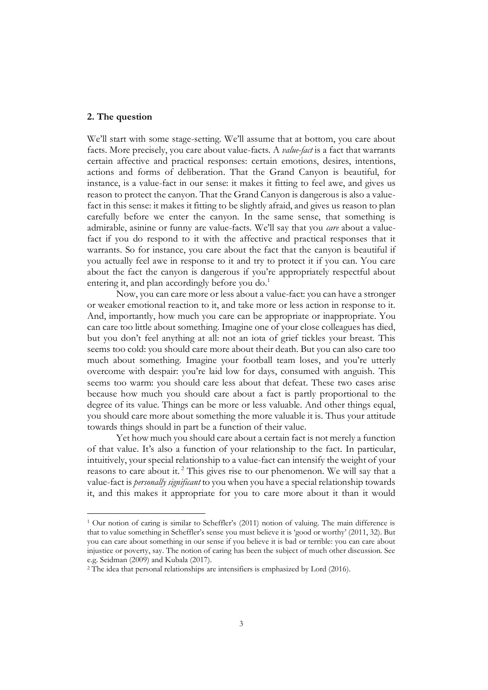## **2. The question**

We'll start with some stage-setting. We'll assume that at bottom, you care about facts. More precisely, you care about value-facts. A *value-fact* is a fact that warrants certain affective and practical responses: certain emotions, desires, intentions, actions and forms of deliberation. That the Grand Canyon is beautiful, for instance, is a value-fact in our sense: it makes it fitting to feel awe, and gives us reason to protect the canyon. That the Grand Canyon is dangerous is also a valuefact in this sense: it makes it fitting to be slightly afraid, and gives us reason to plan carefully before we enter the canyon. In the same sense, that something is admirable, asinine or funny are value-facts. We'll say that you *care* about a valuefact if you do respond to it with the affective and practical responses that it warrants. So for instance, you care about the fact that the canyon is beautiful if you actually feel awe in response to it and try to protect it if you can. You care about the fact the canyon is dangerous if you're appropriately respectful about entering it, and plan accordingly before you do. $<sup>1</sup>$ </sup>

Now, you can care more or less about a value-fact: you can have a stronger or weaker emotional reaction to it, and take more or less action in response to it. And, importantly, how much you care can be appropriate or inappropriate. You can care too little about something. Imagine one of your close colleagues has died, but you don't feel anything at all: not an iota of grief tickles your breast. This seems too cold: you should care more about their death. But you can also care too much about something. Imagine your football team loses, and you're utterly overcome with despair: you're laid low for days, consumed with anguish. This seems too warm: you should care less about that defeat. These two cases arise because how much you should care about a fact is partly proportional to the degree of its value. Things can be more or less valuable. And other things equal, you should care more about something the more valuable it is. Thus your attitude towards things should in part be a function of their value.

Yet how much you should care about a certain fact is not merely a function of that value. It's also a function of your relationship to the fact. In particular, intuitively, your special relationship to a value-fact can intensify the weight of your reasons to care about it. <sup>2</sup> This gives rise to our phenomenon. We will say that a value-fact is *personally significant* to you when you have a special relationship towards it, and this makes it appropriate for you to care more about it than it would

<sup>&</sup>lt;sup>1</sup> Our notion of caring is similar to Scheffler's (2011) notion of valuing. The main difference is that to value something in Scheffler's sense you must believe it is 'good or worthy' (2011, 32). But you can care about something in our sense if you believe it is bad or terrible: you can care about injustice or poverty, say. The notion of caring has been the subject of much other discussion. See e.g. Seidman (2009) and Kubala (2017).

<sup>&</sup>lt;sup>2</sup> The idea that personal relationships are intensifiers is emphasized by Lord (2016).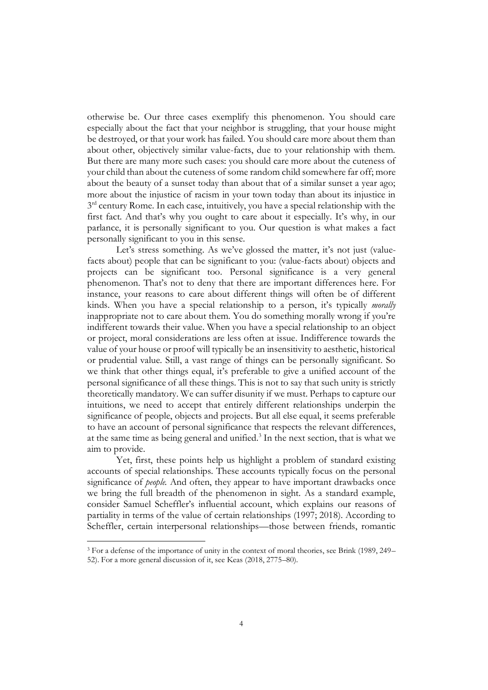otherwise be. Our three cases exemplify this phenomenon. You should care especially about the fact that your neighbor is struggling, that your house might be destroyed, or that your work has failed. You should care more about them than about other, objectively similar value-facts, due to your relationship with them. But there are many more such cases: you should care more about the cuteness of your child than about the cuteness of some random child somewhere far off; more about the beauty of a sunset today than about that of a similar sunset a year ago; more about the injustice of racism in your town today than about its injustice in 3<sup>rd</sup> century Rome. In each case, intuitively, you have a special relationship with the first fact. And that's why you ought to care about it especially. It's why, in our parlance, it is personally significant to you. Our question is what makes a fact personally significant to you in this sense.

Let's stress something. As we've glossed the matter, it's not just (valuefacts about) people that can be significant to you: (value-facts about) objects and projects can be significant too. Personal significance is a very general phenomenon. That's not to deny that there are important differences here. For instance, your reasons to care about different things will often be of different kinds. When you have a special relationship to a person, it's typically *morally* inappropriate not to care about them. You do something morally wrong if you're indifferent towards their value. When you have a special relationship to an object or project, moral considerations are less often at issue. Indifference towards the value of your house or proof will typically be an insensitivity to aesthetic, historical or prudential value. Still, a vast range of things can be personally significant. So we think that other things equal, it's preferable to give a unified account of the personal significance of all these things. This is not to say that such unity is strictly theoretically mandatory. We can suffer disunity if we must. Perhaps to capture our intuitions, we need to accept that entirely different relationships underpin the significance of people, objects and projects. But all else equal, it seems preferable to have an account of personal significance that respects the relevant differences, at the same time as being general and unified.<sup>3</sup> In the next section, that is what we aim to provide.

Yet, first, these points help us highlight a problem of standard existing accounts of special relationships. These accounts typically focus on the personal significance of *people.* And often, they appear to have important drawbacks once we bring the full breadth of the phenomenon in sight. As a standard example, consider Samuel Scheffler's influential account, which explains our reasons of partiality in terms of the value of certain relationships (1997; 2018). According to Scheffler, certain interpersonal relationships—those between friends, romantic

<sup>3</sup> For a defense of the importance of unity in the context of moral theories, see Brink (1989, 249– 52). For a more general discussion of it, see Keas (2018, 2775–80).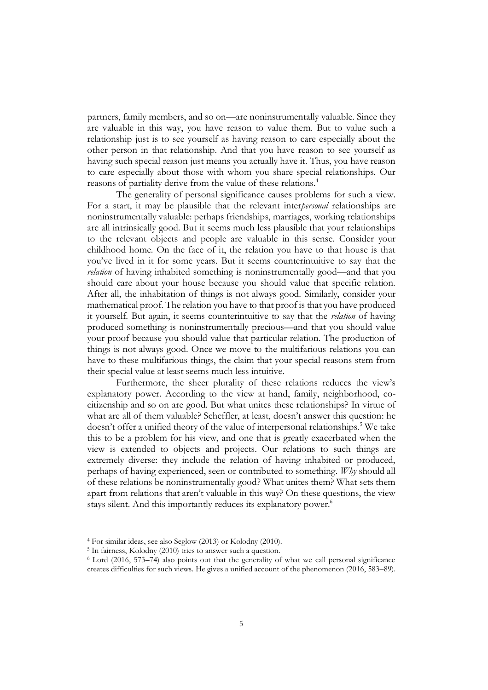partners, family members, and so on—are noninstrumentally valuable. Since they are valuable in this way, you have reason to value them. But to value such a relationship just is to see yourself as having reason to care especially about the other person in that relationship. And that you have reason to see yourself as having such special reason just means you actually have it. Thus, you have reason to care especially about those with whom you share special relationships. Our reasons of partiality derive from the value of these relations.<sup>4</sup>

The generality of personal significance causes problems for such a view. For a start, it may be plausible that the relevant inter*personal* relationships are noninstrumentally valuable: perhaps friendships, marriages, working relationships are all intrinsically good. But it seems much less plausible that your relationships to the relevant objects and people are valuable in this sense. Consider your childhood home. On the face of it, the relation you have to that house is that you've lived in it for some years. But it seems counterintuitive to say that the *relation* of having inhabited something is noninstrumentally good—and that you should care about your house because you should value that specific relation. After all, the inhabitation of things is not always good. Similarly, consider your mathematical proof. The relation you have to that proof is that you have produced it yourself. But again, it seems counterintuitive to say that the *relation* of having produced something is noninstrumentally precious—and that you should value your proof because you should value that particular relation. The production of things is not always good. Once we move to the multifarious relations you can have to these multifarious things, the claim that your special reasons stem from their special value at least seems much less intuitive.

Furthermore, the sheer plurality of these relations reduces the view's explanatory power. According to the view at hand, family, neighborhood, cocitizenship and so on are good. But what unites these relationships? In virtue of what are all of them valuable? Scheffler, at least, doesn't answer this question: he doesn't offer a unified theory of the value of interpersonal relationships.<sup>5</sup> We take this to be a problem for his view, and one that is greatly exacerbated when the view is extended to objects and projects. Our relations to such things are extremely diverse: they include the relation of having inhabited or produced, perhaps of having experienced, seen or contributed to something. *Why* should all of these relations be noninstrumentally good? What unites them? What sets them apart from relations that aren't valuable in this way? On these questions, the view stays silent. And this importantly reduces its explanatory power. 6

<sup>4</sup> For similar ideas, see also Seglow (2013) or Kolodny (2010).

<sup>5</sup> In fairness, Kolodny (2010) tries to answer such a question.

<sup>6</sup> Lord (2016, 573–74) also points out that the generality of what we call personal significance creates difficulties for such views. He gives a unified account of the phenomenon (2016, 583–89).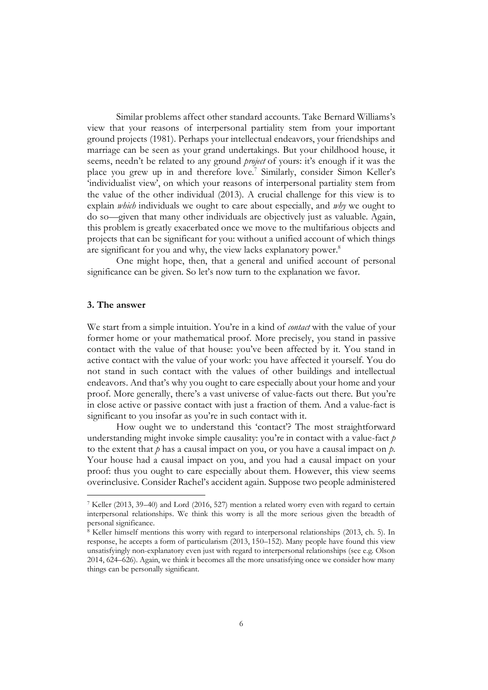Similar problems affect other standard accounts. Take Bernard Williams's view that your reasons of interpersonal partiality stem from your important ground projects (1981). Perhaps your intellectual endeavors, your friendships and marriage can be seen as your grand undertakings. But your childhood house, it seems, needn't be related to any ground *project* of yours: it's enough if it was the place you grew up in and therefore love.<sup>7</sup> Similarly, consider Simon Keller's 'individualist view', on which your reasons of interpersonal partiality stem from the value of the other individual (2013). A crucial challenge for this view is to explain *which* individuals we ought to care about especially, and *why* we ought to do so—given that many other individuals are objectively just as valuable. Again, this problem is greatly exacerbated once we move to the multifarious objects and projects that can be significant for you: without a unified account of which things are significant for you and why, the view lacks explanatory power.<sup>8</sup>

One might hope, then, that a general and unified account of personal significance can be given. So let's now turn to the explanation we favor.

## **3. The answer**

We start from a simple intuition. You're in a kind of *contact* with the value of your former home or your mathematical proof. More precisely, you stand in passive contact with the value of that house: you've been affected by it. You stand in active contact with the value of your work: you have affected it yourself. You do not stand in such contact with the values of other buildings and intellectual endeavors. And that's why you ought to care especially about your home and your proof. More generally, there's a vast universe of value-facts out there. But you're in close active or passive contact with just a fraction of them. And a value-fact is significant to you insofar as you're in such contact with it.

How ought we to understand this 'contact'? The most straightforward understanding might invoke simple causality: you're in contact with a value-fact *p* to the extent that *p* has a causal impact on you, or you have a causal impact on *p*. Your house had a causal impact on you, and you had a causal impact on your proof: thus you ought to care especially about them. However, this view seems overinclusive. Consider Rachel's accident again. Suppose two people administered

<sup>7</sup> Keller (2013, 39–40) and Lord (2016, 527) mention a related worry even with regard to certain interpersonal relationships. We think this worry is all the more serious given the breadth of personal significance.

<sup>8</sup> Keller himself mentions this worry with regard to interpersonal relationships (2013, ch. 5). In response, he accepts a form of particularism (2013, 150–152). Many people have found this view unsatisfyingly non-explanatory even just with regard to interpersonal relationships (see e.g. Olson 2014, 624–626). Again, we think it becomes all the more unsatisfying once we consider how many things can be personally significant.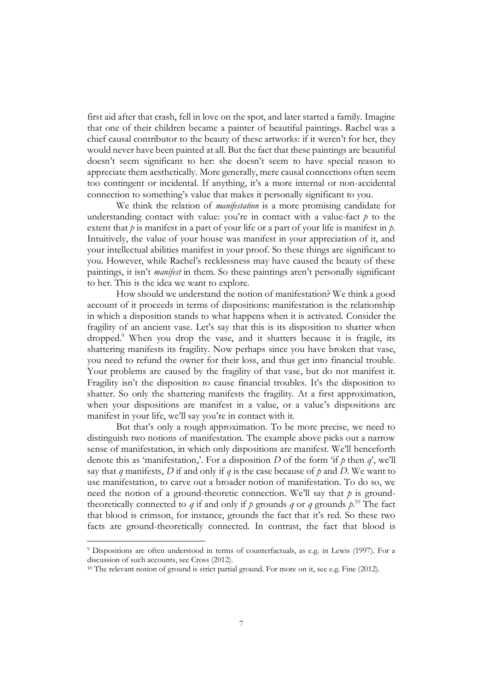first aid after that crash, fell in love on the spot, and later started a family. Imagine that one of their children became a painter of beautiful paintings. Rachel was a chief causal contributor to the beauty of these artworks: if it weren't for her, they would never have been painted at all. But the fact that these paintings are beautiful doesn't seem significant to her: she doesn't seem to have special reason to appreciate them aesthetically. More generally, mere causal connections often seem too contingent or incidental. If anything, it's a more internal or non-accidental connection to something's value that makes it personally significant to you.

We think the relation of *manifestation* is a more promising candidate for understanding contact with value: you're in contact with a value-fact  $p$  to the extent that *p* is manifest in a part of your life or a part of your life is manifest in *p*. Intuitively, the value of your house was manifest in your appreciation of it, and your intellectual abilities manifest in your proof. So these things are significant to you. However, while Rachel's recklessness may have caused the beauty of these paintings, it isn't *manifest* in them. So these paintings aren't personally significant to her. This is the idea we want to explore.

How should we understand the notion of manifestation? We think a good account of it proceeds in terms of dispositions: manifestation is the relationship in which a disposition stands to what happens when it is activated. Consider the fragility of an ancient vase. Let's say that this is its disposition to shatter when dropped.<sup>9</sup> When you drop the vase, and it shatters because it is fragile, its shattering manifests its fragility. Now perhaps since you have broken that vase, you need to refund the owner for their loss, and thus get into financial trouble. Your problems are caused by the fragility of that vase, but do not manifest it. Fragility isn't the disposition to cause financial troubles. It's the disposition to shatter. So only the shattering manifests the fragility. At a first approximation, when your dispositions are manifest in a value, or a value's dispositions are manifest in your life, we'll say you're in contact with it.

But that's only a rough approximation. To be more precise, we need to distinguish two notions of manifestation. The example above picks out a narrow sense of manifestation, in which only dispositions are manifest. We'll henceforth denote this as 'manifestation,'. For a disposition *D* of the form 'if  $p$  then  $q$ ', we'll say that *q* manifests, *D* if and only if *q* is the case because of *p* and *D*. We want to use manifestation*<sup>n</sup>* to carve out a broader notion of manifestation. To do so, we need the notion of a ground-theoretic connection. We'll say that  $p$  is groundtheoretically connected to  $q$  if and only if  $p$  grounds  $q$  or  $q$  grounds  $p$ .<sup>10</sup> The fact that blood is crimson, for instance, grounds the fact that it's red. So these two facts are ground-theoretically connected. In contrast, the fact that blood is

<sup>9</sup> Dispositions are often understood in terms of counterfactuals, as e.g. in Lewis (1997). For a discussion of such accounts, see Cross (2012).

<sup>&</sup>lt;sup>10</sup> The relevant notion of ground is strict partial ground. For more on it, see e.g. Fine (2012).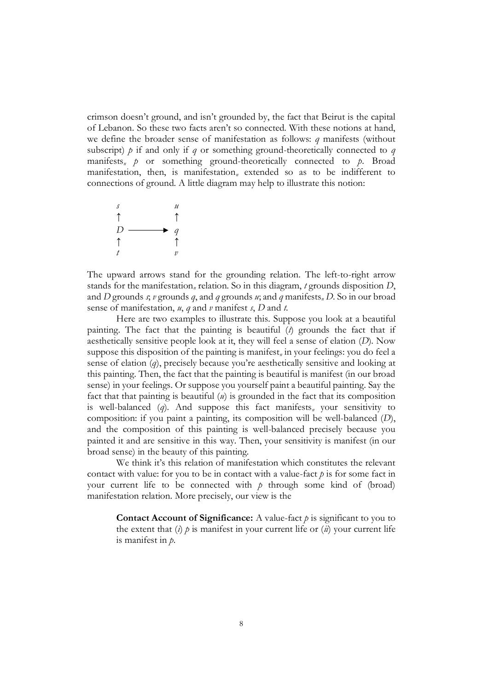crimson doesn't ground, and isn't grounded by, the fact that Beirut is the capital of Lebanon. So these two facts aren't so connected. With these notions at hand, we define the broader sense of manifestation as follows: *q* manifests (without subscript)  $\phi$  if and only if *q* or something ground-theoretically connected to *q* manifests*<sup>n</sup> p* or something ground-theoretically connected to *p*. Broad manifestation, then, is manifestation*<sup>n</sup>* extended so as to be indifferent to connections of ground. A little diagram may help to illustrate this notion:



The upward arrows stand for the grounding relation. The left-to-right arrow stands for the manifestation*<sup>n</sup>* relation. So in this diagram, *t* grounds disposition *D*, and *D* grounds *s*; *v* grounds *q*, and *q* grounds *u*; and *q* manifests*<sup>n</sup> D*. So in our broad sense of manifestation, *u*, *q* and *v* manifest *s*, *D* and *t*.

Here are two examples to illustrate this. Suppose you look at a beautiful painting. The fact that the painting is beautiful (*t*) grounds the fact that if aesthetically sensitive people look at it, they will feel a sense of elation (*D*). Now suppose this disposition of the painting is manifest*<sup>n</sup>* in your feelings: you do feel a sense of elation (*q*), precisely because you're aesthetically sensitive and looking at this painting. Then, the fact that the painting is beautiful is manifest (in our broad sense) in your feelings. Or suppose you yourself paint a beautiful painting. Say the fact that that painting is beautiful (*u*) is grounded in the fact that its composition is well-balanced (*q*). And suppose this fact manifests*<sup>n</sup>* your sensitivity to composition: if you paint a painting, its composition will be well-balanced (*D*), and the composition of this painting is well-balanced precisely because you painted it and are sensitive in this way. Then, your sensitivity is manifest (in our broad sense) in the beauty of this painting.

We think it's this relation of manifestation which constitutes the relevant contact with value: for you to be in contact with a value-fact  $p$  is for some fact in your current life to be connected with *p* through some kind of (broad) manifestation relation. More precisely, our view is the

**Contact Account of Significance:** A value-fact *p* is significant to you to the extent that  $(i)$   $\dot{p}$  is manifest in your current life or  $(ii)$  your current life is manifest in *p*.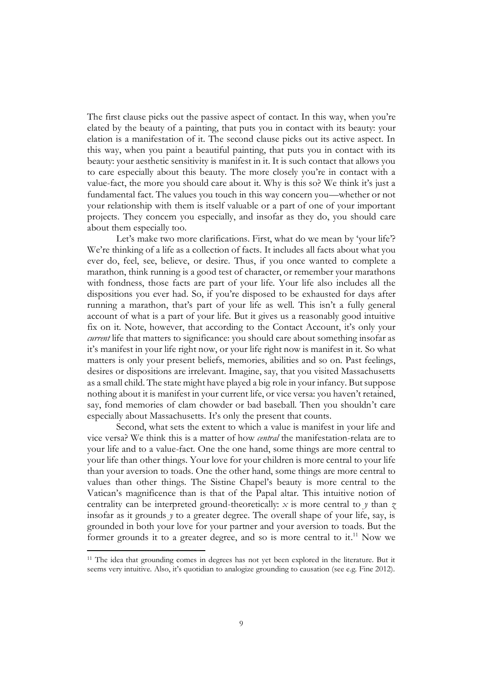The first clause picks out the passive aspect of contact. In this way, when you're elated by the beauty of a painting, that puts you in contact with its beauty: your elation is a manifestation of it. The second clause picks out its active aspect. In this way, when you paint a beautiful painting, that puts you in contact with its beauty: your aesthetic sensitivity is manifest in it. It is such contact that allows you to care especially about this beauty. The more closely you're in contact with a value-fact, the more you should care about it. Why is this so? We think it's just a fundamental fact. The values you touch in this way concern you—whether or not your relationship with them is itself valuable or a part of one of your important projects. They concern you especially, and insofar as they do, you should care about them especially too.

Let's make two more clarifications. First, what do we mean by 'your life'? We're thinking of a life as a collection of facts. It includes all facts about what you ever do, feel, see, believe, or desire. Thus, if you once wanted to complete a marathon, think running is a good test of character, or remember your marathons with fondness, those facts are part of your life. Your life also includes all the dispositions you ever had. So, if you're disposed to be exhausted for days after running a marathon, that's part of your life as well. This isn't a fully general account of what is a part of your life. But it gives us a reasonably good intuitive fix on it. Note, however, that according to the Contact Account, it's only your *current* life that matters to significance: you should care about something insofar as it's manifest in your life right now, or your life right now is manifest in it. So what matters is only your present beliefs, memories, abilities and so on. Past feelings, desires or dispositions are irrelevant. Imagine, say, that you visited Massachusetts as a small child. The state might have played a big role in your infancy. But suppose nothing about it is manifest in your current life, or vice versa: you haven't retained, say, fond memories of clam chowder or bad baseball. Then you shouldn't care especially about Massachusetts. It's only the present that counts.

Second, what sets the extent to which a value is manifest in your life and vice versa? We think this is a matter of how *central* the manifestation-relata are to your life and to a value-fact. One the one hand, some things are more central to your life than other things. Your love for your children is more central to your life than your aversion to toads. One the other hand, some things are more central to values than other things. The Sistine Chapel's beauty is more central to the Vatican's magnificence than is that of the Papal altar. This intuitive notion of centrality can be interpreted ground-theoretically: *x* is more central to *y* than *z* insofar as it grounds  $\gamma$  to a greater degree. The overall shape of your life, say, is grounded in both your love for your partner and your aversion to toads. But the former grounds it to a greater degree, and so is more central to it.<sup>11</sup> Now we

<sup>&</sup>lt;sup>11</sup> The idea that grounding comes in degrees has not yet been explored in the literature. But it seems very intuitive. Also, it's quotidian to analogize grounding to causation (see e.g. Fine 2012).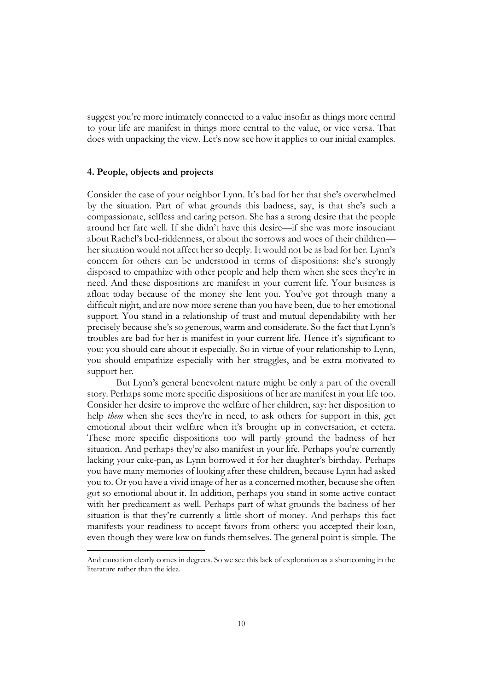suggest you're more intimately connected to a value insofar as things more central to your life are manifest in things more central to the value, or vice versa. That does with unpacking the view. Let's now see how it applies to our initial examples.

#### **4. People, objects and projects**

Consider the case of your neighbor Lynn. It's bad for her that she's overwhelmed by the situation. Part of what grounds this badness, say, is that she's such a compassionate, selfless and caring person. She has a strong desire that the people around her fare well. If she didn't have this desire—if she was more insouciant about Rachel's bed-riddenness, or about the sorrows and woes of their children her situation would not affect her so deeply. It would not be as bad for her. Lynn's concern for others can be understood in terms of dispositions: she's strongly disposed to empathize with other people and help them when she sees they're in need. And these dispositions are manifest in your current life. Your business is afloat today because of the money she lent you. You've got through many a difficult night, and are now more serene than you have been, due to her emotional support. You stand in a relationship of trust and mutual dependability with her precisely because she's so generous, warm and considerate. So the fact that Lynn's troubles are bad for her is manifest in your current life. Hence it's significant to you: you should care about it especially. So in virtue of your relationship to Lynn, you should empathize especially with her struggles, and be extra motivated to support her.

But Lynn's general benevolent nature might be only a part of the overall story. Perhaps some more specific dispositions of her are manifest in your life too. Consider her desire to improve the welfare of her children, say: her disposition to help *them* when she sees they're in need, to ask others for support in this, get emotional about their welfare when it's brought up in conversation, et cetera. These more specific dispositions too will partly ground the badness of her situation. And perhaps they're also manifest in your life. Perhaps you're currently lacking your cake-pan, as Lynn borrowed it for her daughter's birthday. Perhaps you have many memories of looking after these children, because Lynn had asked you to. Or you have a vivid image of her as a concerned mother, because she often got so emotional about it. In addition, perhaps you stand in some active contact with her predicament as well. Perhaps part of what grounds the badness of her situation is that they're currently a little short of money. And perhaps this fact manifests your readiness to accept favors from others: you accepted their loan, even though they were low on funds themselves. The general point is simple. The

And causation clearly comes in degrees. So we see this lack of exploration as a shortcoming in the literature rather than the idea.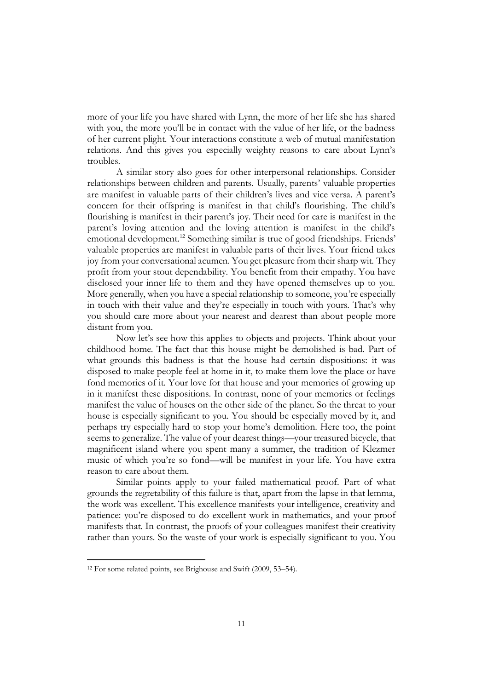more of your life you have shared with Lynn, the more of her life she has shared with you, the more you'll be in contact with the value of her life, or the badness of her current plight. Your interactions constitute a web of mutual manifestation relations. And this gives you especially weighty reasons to care about Lynn's troubles.

A similar story also goes for other interpersonal relationships. Consider relationships between children and parents. Usually, parents' valuable properties are manifest in valuable parts of their children's lives and vice versa. A parent's concern for their offspring is manifest in that child's flourishing. The child's flourishing is manifest in their parent's joy. Their need for care is manifest in the parent's loving attention and the loving attention is manifest in the child's emotional development.<sup>12</sup> Something similar is true of good friendships. Friends' valuable properties are manifest in valuable parts of their lives. Your friend takes joy from your conversational acumen. You get pleasure from their sharp wit. They profit from your stout dependability. You benefit from their empathy. You have disclosed your inner life to them and they have opened themselves up to you. More generally, when you have a special relationship to someone, you're especially in touch with their value and they're especially in touch with yours. That's why you should care more about your nearest and dearest than about people more distant from you.

Now let's see how this applies to objects and projects. Think about your childhood home. The fact that this house might be demolished is bad. Part of what grounds this badness is that the house had certain dispositions: it was disposed to make people feel at home in it, to make them love the place or have fond memories of it. Your love for that house and your memories of growing up in it manifest these dispositions. In contrast, none of your memories or feelings manifest the value of houses on the other side of the planet. So the threat to your house is especially significant to you. You should be especially moved by it, and perhaps try especially hard to stop your home's demolition. Here too, the point seems to generalize. The value of your dearest things—your treasured bicycle, that magnificent island where you spent many a summer, the tradition of Klezmer music of which you're so fond—will be manifest in your life. You have extra reason to care about them.

Similar points apply to your failed mathematical proof. Part of what grounds the regretability of this failure is that, apart from the lapse in that lemma, the work was excellent. This excellence manifests your intelligence, creativity and patience: you're disposed to do excellent work in mathematics, and your proof manifests that. In contrast, the proofs of your colleagues manifest their creativity rather than yours. So the waste of your work is especially significant to you. You

<sup>12</sup> For some related points, see Brighouse and Swift (2009, 53–54).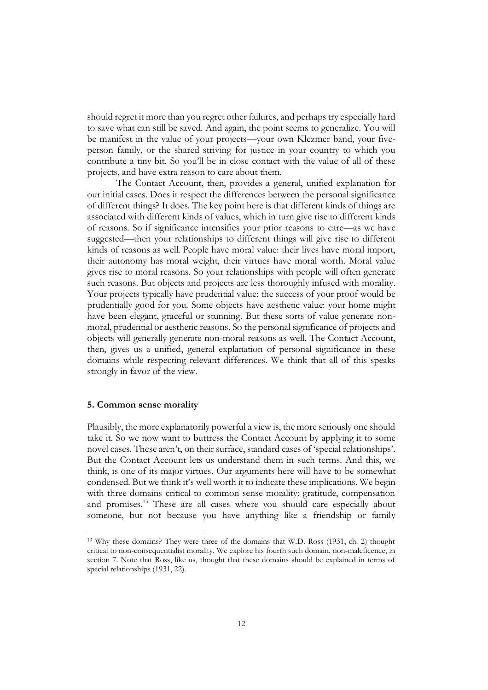should regret it more than you regret other failures, and perhaps try especially hard to save what can still be saved. And again, the point seems to generalize. You will be manifest in the value of your projects—your own Klezmer band, your fiveperson family, or the shared striving for justice in your country to which you contribute a tiny bit. So you'll be in close contact with the value of all of these projects, and have extra reason to care about them.

The Contact Account, then, provides a general, unified explanation for our initial cases. Does it respect the differences between the personal significance of different things? It does. The key point here is that different kinds of things are associated with different kinds of values, which in turn give rise to different kinds of reasons. So if significance intensifies your prior reasons to care—as we have suggested—then your relationships to different things will give rise to different kinds of reasons as well. People have moral value: their lives have moral import, their autonomy has moral weight, their virtues have moral worth. Moral value gives rise to moral reasons. So your relationships with people will often generate such reasons. But objects and projects are less thoroughly infused with morality. Your projects typically have prudential value: the success of your proof would be prudentially good for you. Some objects have aesthetic value: your home might have been elegant, graceful or stunning. But these sorts of value generate nonmoral, prudential or aesthetic reasons. So the personal significance of projects and objects will generally generate non-moral reasons as well. The Contact Account, then, gives us a unified, general explanation of personal significance in these domains while respecting relevant differences. We think that all of this speaks strongly in favor of the view.

#### **5. Common sense morality**

Plausibly, the more explanatorily powerful a view is, the more seriously one should take it. So we now want to buttress the Contact Account by applying it to some novel cases. These aren't, on their surface, standard cases of 'special relationships'. But the Contact Account lets us understand them in such terms. And this, we think, is one of its major virtues. Our arguments here will have to be somewhat condensed. But we think it's well worth it to indicate these implications. We begin with three domains critical to common sense morality: gratitude, compensation and promises.<sup>13</sup> These are all cases where you should care especially about someone, but not because you have anything like a friendship or family

<sup>13</sup> Why these domains? They were three of the domains that W.D. Ross (1931, ch. 2) thought critical to non-consequentialist morality. We explore his fourth such domain, non-maleficence, in section 7. Note that Ross, like us, thought that these domains should be explained in terms of special relationships (1931, 22).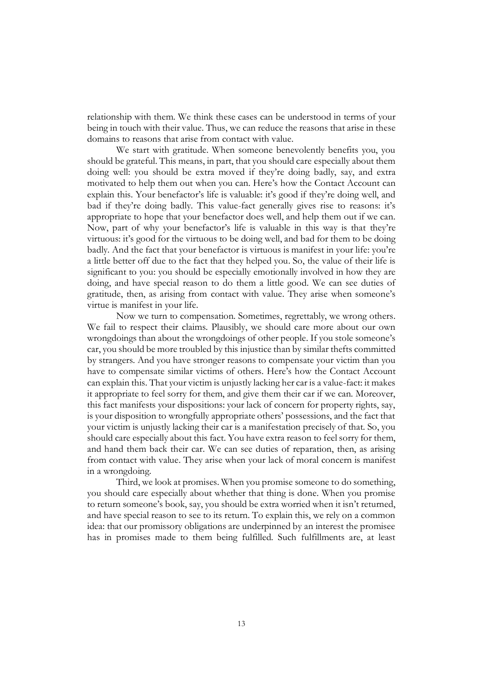relationship with them. We think these cases can be understood in terms of your being in touch with their value. Thus, we can reduce the reasons that arise in these domains to reasons that arise from contact with value.

We start with gratitude. When someone benevolently benefits you, you should be grateful. This means, in part, that you should care especially about them doing well: you should be extra moved if they're doing badly, say, and extra motivated to help them out when you can. Here's how the Contact Account can explain this. Your benefactor's life is valuable: it's good if they're doing well, and bad if they're doing badly. This value-fact generally gives rise to reasons: it's appropriate to hope that your benefactor does well, and help them out if we can. Now, part of why your benefactor's life is valuable in this way is that they're virtuous: it's good for the virtuous to be doing well, and bad for them to be doing badly. And the fact that your benefactor is virtuous is manifest in your life: you're a little better off due to the fact that they helped you. So, the value of their life is significant to you: you should be especially emotionally involved in how they are doing, and have special reason to do them a little good. We can see duties of gratitude, then, as arising from contact with value. They arise when someone's virtue is manifest in your life.

Now we turn to compensation. Sometimes, regrettably, we wrong others. We fail to respect their claims. Plausibly, we should care more about our own wrongdoings than about the wrongdoings of other people. If you stole someone's car, you should be more troubled by this injustice than by similar thefts committed by strangers. And you have stronger reasons to compensate your victim than you have to compensate similar victims of others. Here's how the Contact Account can explain this. That your victim is unjustly lacking her car is a value-fact: it makes it appropriate to feel sorry for them, and give them their car if we can. Moreover, this fact manifests your dispositions: your lack of concern for property rights, say, is your disposition to wrongfully appropriate others' possessions, and the fact that your victim is unjustly lacking their car is a manifestation precisely of that. So, you should care especially about this fact. You have extra reason to feel sorry for them, and hand them back their car. We can see duties of reparation, then, as arising from contact with value. They arise when your lack of moral concern is manifest in a wrongdoing.

Third, we look at promises. When you promise someone to do something, you should care especially about whether that thing is done. When you promise to return someone's book, say, you should be extra worried when it isn't returned, and have special reason to see to its return. To explain this, we rely on a common idea: that our promissory obligations are underpinned by an interest the promisee has in promises made to them being fulfilled. Such fulfillments are, at least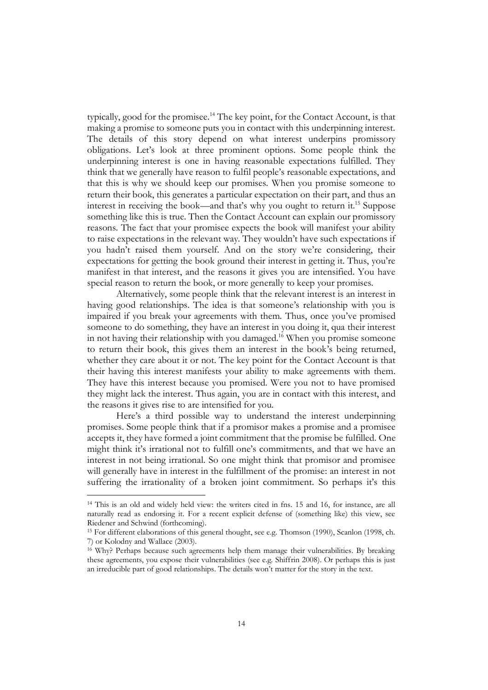typically, good for the promisee.<sup>14</sup> The key point, for the Contact Account, is that making a promise to someone puts you in contact with this underpinning interest. The details of this story depend on what interest underpins promissory obligations. Let's look at three prominent options. Some people think the underpinning interest is one in having reasonable expectations fulfilled. They think that we generally have reason to fulfil people's reasonable expectations, and that this is why we should keep our promises. When you promise someone to return their book, this generates a particular expectation on their part, and thus an interest in receiving the book—and that's why you ought to return it. <sup>15</sup> Suppose something like this is true. Then the Contact Account can explain our promissory reasons. The fact that your promisee expects the book will manifest your ability to raise expectations in the relevant way. They wouldn't have such expectations if you hadn't raised them yourself. And on the story we're considering, their expectations for getting the book ground their interest in getting it. Thus, you're manifest in that interest, and the reasons it gives you are intensified. You have special reason to return the book, or more generally to keep your promises.

Alternatively, some people think that the relevant interest is an interest in having good relationships. The idea is that someone's relationship with you is impaired if you break your agreements with them. Thus, once you've promised someone to do something, they have an interest in you doing it, qua their interest in not having their relationship with you damaged. <sup>16</sup> When you promise someone to return their book, this gives them an interest in the book's being returned, whether they care about it or not. The key point for the Contact Account is that their having this interest manifests your ability to make agreements with them. They have this interest because you promised. Were you not to have promised they might lack the interest. Thus again, you are in contact with this interest, and the reasons it gives rise to are intensified for you.

Here's a third possible way to understand the interest underpinning promises. Some people think that if a promisor makes a promise and a promisee accepts it, they have formed a joint commitment that the promise be fulfilled. One might think it's irrational not to fulfill one's commitments, and that we have an interest in not being irrational. So one might think that promisor and promisee will generally have in interest in the fulfillment of the promise: an interest in not suffering the irrationality of a broken joint commitment. So perhaps it's this

<sup>14</sup> This is an old and widely held view: the writers cited in fns. 15 and 16, for instance, are all naturally read as endorsing it. For a recent explicit defense of (something like) this view, see Riedener and Schwind (forthcoming).

<sup>15</sup> For different elaborations of this general thought, see e.g. Thomson (1990), Scanlon (1998, ch. 7) or Kolodny and Wallace (2003).

<sup>16</sup> Why? Perhaps because such agreements help them manage their vulnerabilities. By breaking these agreements, you expose their vulnerabilities (see e.g. Shiffrin 2008). Or perhaps this is just an irreducible part of good relationships. The details won't matter for the story in the text.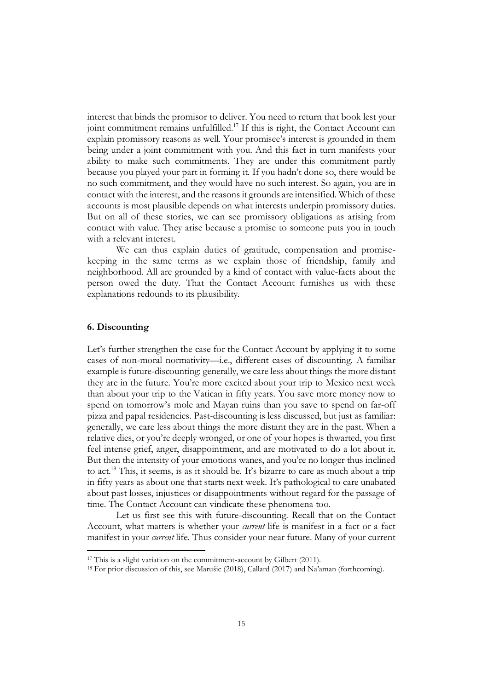interest that binds the promisor to deliver. You need to return that book lest your joint commitment remains unfulfilled.<sup>17</sup> If this is right, the Contact Account can explain promissory reasons as well. Your promisee's interest is grounded in them being under a joint commitment with you. And this fact in turn manifests your ability to make such commitments. They are under this commitment partly because you played your part in forming it. If you hadn't done so, there would be no such commitment, and they would have no such interest. So again, you are in contact with the interest, and the reasons it grounds are intensified. Which of these accounts is most plausible depends on what interests underpin promissory duties. But on all of these stories, we can see promissory obligations as arising from contact with value. They arise because a promise to someone puts you in touch with a relevant interest.

We can thus explain duties of gratitude, compensation and promisekeeping in the same terms as we explain those of friendship, family and neighborhood. All are grounded by a kind of contact with value-facts about the person owed the duty. That the Contact Account furnishes us with these explanations redounds to its plausibility.

## **6. Discounting**

Let's further strengthen the case for the Contact Account by applying it to some cases of non-moral normativity—i.e., different cases of discounting. A familiar example is future-discounting: generally, we care less about things the more distant they are in the future. You're more excited about your trip to Mexico next week than about your trip to the Vatican in fifty years. You save more money now to spend on tomorrow's mole and Mayan ruins than you save to spend on far-off pizza and papal residencies. Past-discounting is less discussed, but just as familiar: generally, we care less about things the more distant they are in the past. When a relative dies, or you're deeply wronged, or one of your hopes is thwarted, you first feel intense grief, anger, disappointment, and are motivated to do a lot about it. But then the intensity of your emotions wanes, and you're no longer thus inclined to act.<sup>18</sup> This, it seems, is as it should be. It's bizarre to care as much about a trip in fifty years as about one that starts next week. It's pathological to care unabated about past losses, injustices or disappointments without regard for the passage of time. The Contact Account can vindicate these phenomena too.

Let us first see this with future-discounting. Recall that on the Contact Account, what matters is whether your *current* life is manifest in a fact or a fact manifest in your *current* life. Thus consider your near future. Many of your current

<sup>&</sup>lt;sup>17</sup> This is a slight variation on the commitment-account by Gilbert (2011).

<sup>18</sup> For prior discussion of this, see Marušic (2018), Callard (2017) and Na'aman (forthcoming).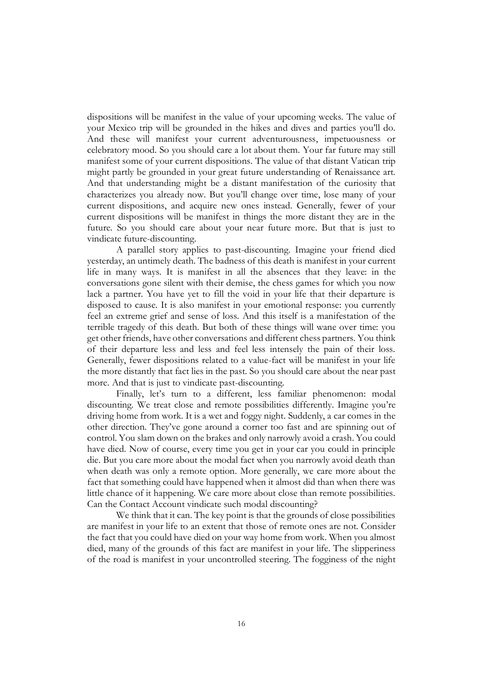dispositions will be manifest in the value of your upcoming weeks. The value of your Mexico trip will be grounded in the hikes and dives and parties you'll do. And these will manifest your current adventurousness, impetuousness or celebratory mood. So you should care a lot about them. Your far future may still manifest some of your current dispositions. The value of that distant Vatican trip might partly be grounded in your great future understanding of Renaissance art. And that understanding might be a distant manifestation of the curiosity that characterizes you already now. But you'll change over time, lose many of your current dispositions, and acquire new ones instead. Generally, fewer of your current dispositions will be manifest in things the more distant they are in the future. So you should care about your near future more. But that is just to vindicate future-discounting.

A parallel story applies to past-discounting. Imagine your friend died yesterday, an untimely death. The badness of this death is manifest in your current life in many ways. It is manifest in all the absences that they leave: in the conversations gone silent with their demise, the chess games for which you now lack a partner. You have yet to fill the void in your life that their departure is disposed to cause. It is also manifest in your emotional response: you currently feel an extreme grief and sense of loss. And this itself is a manifestation of the terrible tragedy of this death. But both of these things will wane over time: you get other friends, have other conversations and different chess partners. You think of their departure less and less and feel less intensely the pain of their loss. Generally, fewer dispositions related to a value-fact will be manifest in your life the more distantly that fact lies in the past. So you should care about the near past more. And that is just to vindicate past-discounting.

Finally, let's turn to a different, less familiar phenomenon: modal discounting. We treat close and remote possibilities differently. Imagine you're driving home from work. It is a wet and foggy night. Suddenly, a car comes in the other direction. They've gone around a corner too fast and are spinning out of control. You slam down on the brakes and only narrowly avoid a crash. You could have died. Now of course, every time you get in your car you could in principle die. But you care more about the modal fact when you narrowly avoid death than when death was only a remote option. More generally, we care more about the fact that something could have happened when it almost did than when there was little chance of it happening. We care more about close than remote possibilities. Can the Contact Account vindicate such modal discounting?

We think that it can. The key point is that the grounds of close possibilities are manifest in your life to an extent that those of remote ones are not. Consider the fact that you could have died on your way home from work. When you almost died, many of the grounds of this fact are manifest in your life. The slipperiness of the road is manifest in your uncontrolled steering. The fogginess of the night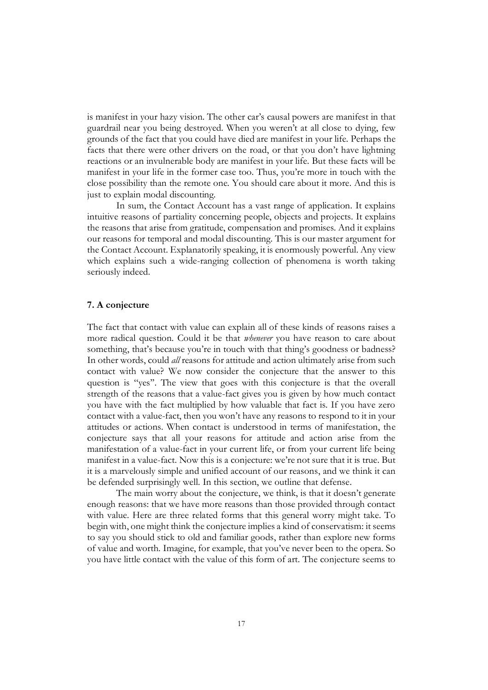is manifest in your hazy vision. The other car's causal powers are manifest in that guardrail near you being destroyed. When you weren't at all close to dying, few grounds of the fact that you could have died are manifest in your life. Perhaps the facts that there were other drivers on the road, or that you don't have lightning reactions or an invulnerable body are manifest in your life. But these facts will be manifest in your life in the former case too. Thus, you're more in touch with the close possibility than the remote one. You should care about it more. And this is just to explain modal discounting.

In sum, the Contact Account has a vast range of application. It explains intuitive reasons of partiality concerning people, objects and projects. It explains the reasons that arise from gratitude, compensation and promises. And it explains our reasons for temporal and modal discounting. This is our master argument for the Contact Account. Explanatorily speaking, it is enormously powerful. Any view which explains such a wide-ranging collection of phenomena is worth taking seriously indeed.

#### **7. A conjecture**

The fact that contact with value can explain all of these kinds of reasons raises a more radical question. Could it be that *whenever* you have reason to care about something, that's because you're in touch with that thing's goodness or badness? In other words, could *all* reasons for attitude and action ultimately arise from such contact with value? We now consider the conjecture that the answer to this question is ''yes''. The view that goes with this conjecture is that the overall strength of the reasons that a value-fact gives you is given by how much contact you have with the fact multiplied by how valuable that fact is. If you have zero contact with a value-fact, then you won't have any reasons to respond to it in your attitudes or actions. When contact is understood in terms of manifestation, the conjecture says that all your reasons for attitude and action arise from the manifestation of a value-fact in your current life, or from your current life being manifest in a value-fact. Now this is a conjecture: we're not sure that it is true. But it is a marvelously simple and unified account of our reasons, and we think it can be defended surprisingly well. In this section, we outline that defense.

The main worry about the conjecture, we think, is that it doesn't generate enough reasons: that we have more reasons than those provided through contact with value. Here are three related forms that this general worry might take. To begin with, one might think the conjecture implies a kind of conservatism: it seems to say you should stick to old and familiar goods, rather than explore new forms of value and worth. Imagine, for example, that you've never been to the opera. So you have little contact with the value of this form of art. The conjecture seems to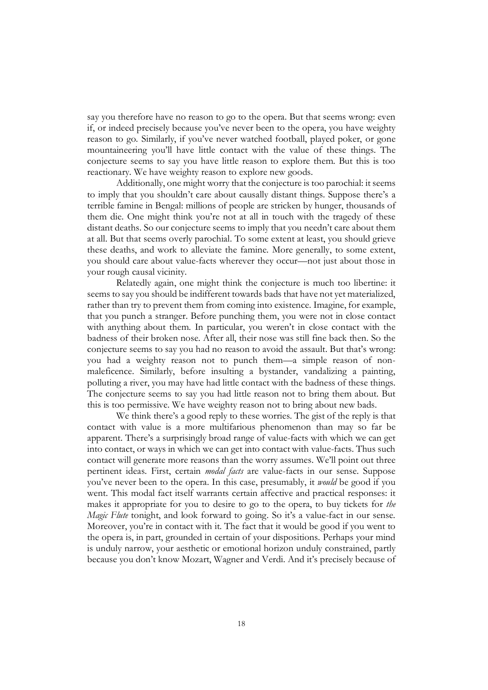say you therefore have no reason to go to the opera. But that seems wrong: even if, or indeed precisely because you've never been to the opera, you have weighty reason to go. Similarly, if you've never watched football, played poker, or gone mountaineering you'll have little contact with the value of these things. The conjecture seems to say you have little reason to explore them. But this is too reactionary. We have weighty reason to explore new goods.

Additionally, one might worry that the conjecture is too parochial: it seems to imply that you shouldn't care about causally distant things. Suppose there's a terrible famine in Bengal: millions of people are stricken by hunger, thousands of them die. One might think you're not at all in touch with the tragedy of these distant deaths. So our conjecture seems to imply that you needn't care about them at all. But that seems overly parochial. To some extent at least, you should grieve these deaths, and work to alleviate the famine. More generally, to some extent, you should care about value-facts wherever they occur—not just about those in your rough causal vicinity.

Relatedly again, one might think the conjecture is much too libertine: it seems to say you should be indifferent towards bads that have not yet materialized, rather than try to prevent them from coming into existence. Imagine, for example, that you punch a stranger. Before punching them, you were not in close contact with anything about them. In particular, you weren't in close contact with the badness of their broken nose. After all, their nose was still fine back then. So the conjecture seems to say you had no reason to avoid the assault. But that's wrong: you had a weighty reason not to punch them—a simple reason of nonmaleficence. Similarly, before insulting a bystander, vandalizing a painting, polluting a river, you may have had little contact with the badness of these things. The conjecture seems to say you had little reason not to bring them about. But this is too permissive. We have weighty reason not to bring about new bads.

We think there's a good reply to these worries. The gist of the reply is that contact with value is a more multifarious phenomenon than may so far be apparent. There's a surprisingly broad range of value-facts with which we can get into contact, or ways in which we can get into contact with value-facts. Thus such contact will generate more reasons than the worry assumes. We'll point out three pertinent ideas. First, certain *modal facts* are value-facts in our sense. Suppose you've never been to the opera. In this case, presumably, it *would* be good if you went. This modal fact itself warrants certain affective and practical responses: it makes it appropriate for you to desire to go to the opera, to buy tickets for *the Magic Flute* tonight, and look forward to going. So it's a value-fact in our sense. Moreover, you're in contact with it. The fact that it would be good if you went to the opera is, in part, grounded in certain of your dispositions. Perhaps your mind is unduly narrow, your aesthetic or emotional horizon unduly constrained, partly because you don't know Mozart, Wagner and Verdi. And it's precisely because of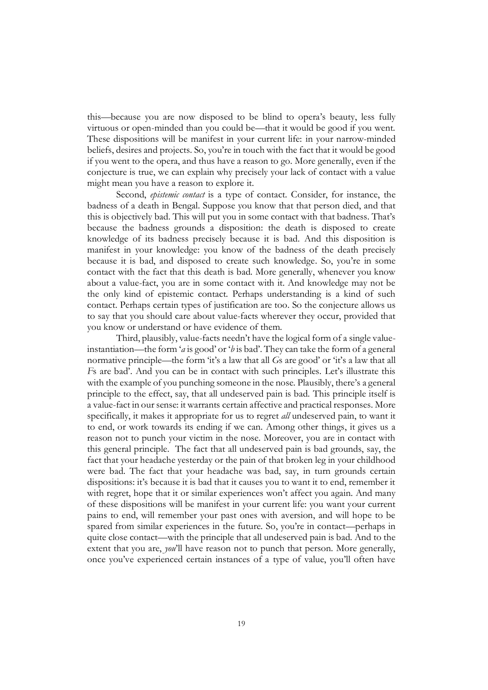this—because you are now disposed to be blind to opera's beauty, less fully virtuous or open-minded than you could be—that it would be good if you went. These dispositions will be manifest in your current life: in your narrow-minded beliefs, desires and projects. So, you're in touch with the fact that it would be good if you went to the opera, and thus have a reason to go. More generally, even if the conjecture is true, we can explain why precisely your lack of contact with a value might mean you have a reason to explore it.

Second, *epistemic contact* is a type of contact. Consider, for instance, the badness of a death in Bengal. Suppose you know that that person died, and that this is objectively bad. This will put you in some contact with that badness. That's because the badness grounds a disposition: the death is disposed to create knowledge of its badness precisely because it is bad. And this disposition is manifest in your knowledge: you know of the badness of the death precisely because it is bad, and disposed to create such knowledge. So, you're in some contact with the fact that this death is bad. More generally, whenever you know about a value-fact, you are in some contact with it. And knowledge may not be the only kind of epistemic contact. Perhaps understanding is a kind of such contact. Perhaps certain types of justification are too. So the conjecture allows us to say that you should care about value-facts wherever they occur, provided that you know or understand or have evidence of them.

Third, plausibly, value-facts needn't have the logical form of a single valueinstantiation—the form '*a* is good' or '*b* is bad'. They can take the form of a general normative principle—the form 'it's a law that all *G*s are good' or 'it's a law that all *F*s are bad'. And you can be in contact with such principles. Let's illustrate this with the example of you punching someone in the nose. Plausibly, there's a general principle to the effect, say, that all undeserved pain is bad. This principle itself is a value-fact in our sense: it warrants certain affective and practical responses. More specifically, it makes it appropriate for us to regret *all* undeserved pain, to want it to end, or work towards its ending if we can. Among other things, it gives us a reason not to punch your victim in the nose. Moreover, you are in contact with this general principle. The fact that all undeserved pain is bad grounds, say, the fact that your headache yesterday or the pain of that broken leg in your childhood were bad. The fact that your headache was bad, say, in turn grounds certain dispositions: it's because it is bad that it causes you to want it to end, remember it with regret, hope that it or similar experiences won't affect you again. And many of these dispositions will be manifest in your current life: you want your current pains to end, will remember your past ones with aversion, and will hope to be spared from similar experiences in the future. So, you're in contact—perhaps in quite close contact—with the principle that all undeserved pain is bad. And to the extent that you are, *you*'ll have reason not to punch that person. More generally, once you've experienced certain instances of a type of value, you'll often have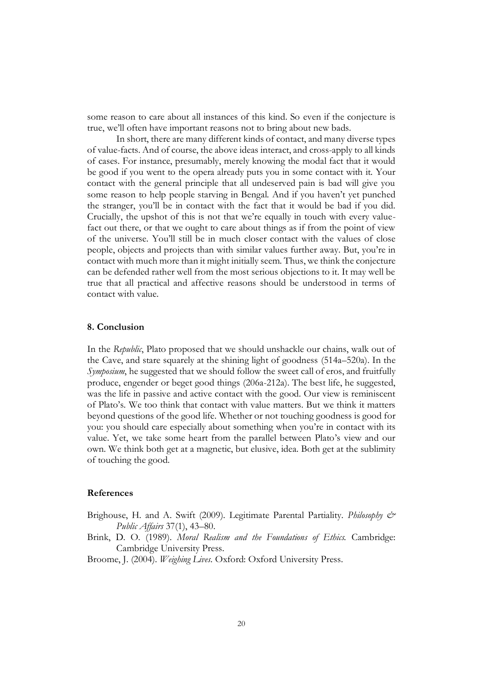some reason to care about all instances of this kind. So even if the conjecture is true, we'll often have important reasons not to bring about new bads.

In short, there are many different kinds of contact, and many diverse types of value-facts. And of course, the above ideas interact, and cross-apply to all kinds of cases. For instance, presumably, merely knowing the modal fact that it would be good if you went to the opera already puts you in some contact with it. Your contact with the general principle that all undeserved pain is bad will give you some reason to help people starving in Bengal. And if you haven't yet punched the stranger, you'll be in contact with the fact that it would be bad if you did. Crucially, the upshot of this is not that we're equally in touch with every valuefact out there, or that we ought to care about things as if from the point of view of the universe. You'll still be in much closer contact with the values of close people, objects and projects than with similar values further away. But, you're in contact with much more than it might initially seem. Thus, we think the conjecture can be defended rather well from the most serious objections to it. It may well be true that all practical and affective reasons should be understood in terms of contact with value.

# **8. Conclusion**

In the *Republic*, Plato proposed that we should unshackle our chains, walk out of the Cave, and stare squarely at the shining light of goodness (514a–520a). In the *Symposium*, he suggested that we should follow the sweet call of eros, and fruitfully produce, engender or beget good things (206a-212a). The best life, he suggested, was the life in passive and active contact with the good. Our view is reminiscent of Plato's. We too think that contact with value matters. But we think it matters beyond questions of the good life. Whether or not touching goodness is good for you: you should care especially about something when you're in contact with its value. Yet, we take some heart from the parallel between Plato's view and our own. We think both get at a magnetic, but elusive, idea. Both get at the sublimity of touching the good.

# **References**

- Brighouse, H. and A. Swift (2009). Legitimate Parental Partiality. *Philosophy & Public Affairs* 37(1), 43–80.
- Brink, D. O. (1989). *Moral Realism and the Foundations of Ethics.* Cambridge: Cambridge University Press.
- Broome, J. (2004). *Weighing Lives*. Oxford: Oxford University Press.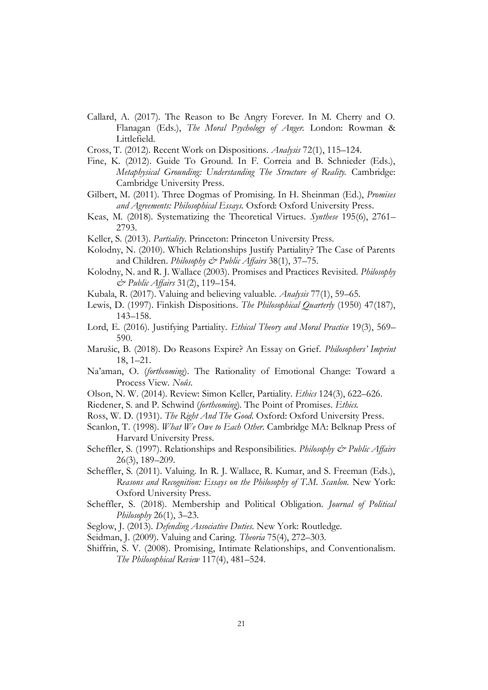- Callard, A. (2017). The Reason to Be Angry Forever. In M. Cherry and O. Flanagan (Eds.), *The Moral Psychology of Anger.* London: Rowman & Littlefield.
- Cross, T. (2012). Recent Work on Dispositions. *Analysis* 72(1), 115–124.
- Fine, K. (2012). Guide To Ground. In F. Correia and B. Schnieder (Eds.), *Metaphysical Grounding: Understanding The Structure of Reality.* Cambridge: Cambridge University Press.
- Gilbert, M. (2011). Three Dogmas of Promising. In H. Sheinman (Ed.), *Promises and Agreements: Philosophical Essays.* Oxford: Oxford University Press.
- Keas, M. (2018). Systematizing the Theoretical Virtues. *Synthese* 195(6), 2761– 2793.
- Keller, S. (2013). *Partiality*. Princeton: Princeton University Press.
- Kolodny, N. (2010). Which Relationships Justify Partiality? The Case of Parents and Children. *Philosophy & Public Affairs* 38(1), 37–75.
- Kolodny, N. and R. J. Wallace (2003). Promises and Practices Revisited. *Philosophy & Public Affairs* 31(2), 119–154.
- Kubala, R. (2017). Valuing and believing valuable. *Analysis* 77(1), 59–65.
- Lewis, D. (1997). Finkish Dispositions. *The Philosophical Quarterly* (1950) 47(187), 143–158.
- Lord, E. (2016). Justifying Partiality. *Ethical Theory and Moral Practice* 19(3), 569– 590.
- Marušic, B. (2018). Do Reasons Expire? An Essay on Grief. *Philosophers' Imprint* 18, 1–21.
- Na'aman, O. (*forthcoming*). The Rationality of Emotional Change: Toward a Process View. *Noûs*.
- Olson, N. W. (2014). Review: Simon Keller, Partiality. *Ethics* 124(3), 622–626.
- Riedener, S. and P. Schwind (*forthcoming*). The Point of Promises. *Ethics.*
- Ross, W. D. (1931). *The Right And The Good.* Oxford: Oxford University Press.
- Scanlon, T. (1998). *What We Owe to Each Other.* Cambridge MA: Belknap Press of Harvard University Press.
- Scheffler, S. (1997). Relationships and Responsibilities. *Philosophy & Public Affairs* 26(3), 189–209.
- Scheffler, S. (2011). Valuing. In R. J. Wallace, R. Kumar, and S. Freeman (Eds.), *Reasons and Recognition: Essays on the Philosophy of T.M. Scanlon.* New York: Oxford University Press.
- Scheffler, S. (2018). Membership and Political Obligation. *Journal of Political Philosophy* 26(1), 3–23.
- Seglow, J. (2013). *Defending Associative Duties*. New York: Routledge.
- Seidman, J. (2009). Valuing and Caring. *Theoria* 75(4), 272–303.
- Shiffrin, S. V. (2008). Promising, Intimate Relationships, and Conventionalism. *The Philosophical Review* 117(4), 481–524.